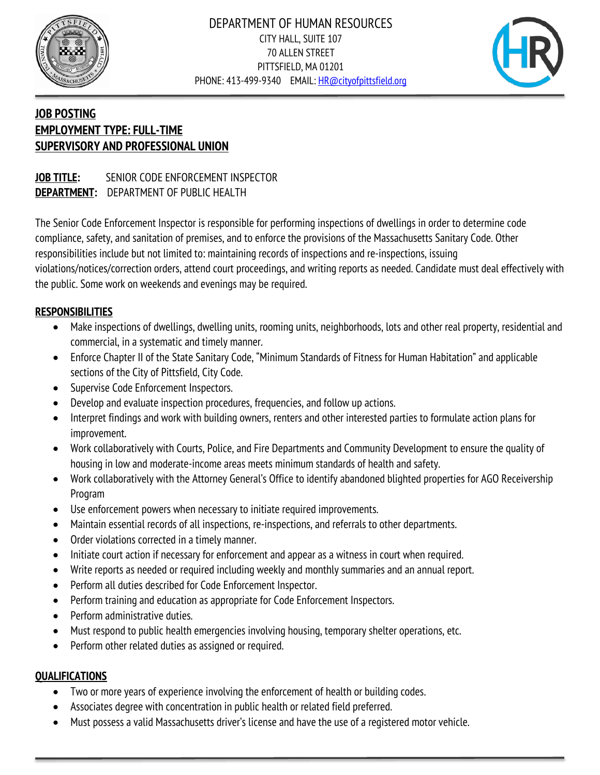



# **JOB POSTING EMPLOYMENT TYPE: FULL-TIME SUPERVISORY AND PROFESSIONAL UNION**

#### **JOB TITLE:** SENIOR CODE ENFORCEMENT INSPECTOR **DEPARTMENT:** DEPARTMENT OF PUBLIC HEALTH

The Senior Code Enforcement Inspector is responsible for performing inspections of dwellings in order to determine code compliance, safety, and sanitation of premises, and to enforce the provisions of the Massachusetts Sanitary Code. Other responsibilities include but not limited to: maintaining records of inspections and re-inspections, issuing violations/notices/correction orders, attend court proceedings, and writing reports as needed. Candidate must deal effectively with the public. Some work on weekends and evenings may be required.

#### **RESPONSIBILITIES**

- Make inspections of dwellings, dwelling units, rooming units, neighborhoods, lots and other real property, residential and commercial, in a systematic and timely manner.
- Enforce Chapter II of the State Sanitary Code, "Minimum Standards of Fitness for Human Habitation" and applicable sections of the City of Pittsfield, City Code.
- Supervise Code Enforcement Inspectors.
- Develop and evaluate inspection procedures, frequencies, and follow up actions.
- Interpret findings and work with building owners, renters and other interested parties to formulate action plans for improvement.
- Work collaboratively with Courts, Police, and Fire Departments and Community Development to ensure the quality of housing in low and moderate-income areas meets minimum standards of health and safety.
- Work collaboratively with the Attorney General's Office to identify abandoned blighted properties for AGO Receivership Program
- Use enforcement powers when necessary to initiate required improvements.
- Maintain essential records of all inspections, re-inspections, and referrals to other departments.
- Order violations corrected in a timely manner.
- Initiate court action if necessary for enforcement and appear as a witness in court when required.
- Write reports as needed or required including weekly and monthly summaries and an annual report.
- Perform all duties described for Code Enforcement Inspector.
- Perform training and education as appropriate for Code Enforcement Inspectors.
- Perform administrative duties.
- Must respond to public health emergencies involving housing, temporary shelter operations, etc.
- Perform other related duties as assigned or required.

#### **QUALIFICATIONS**

- Two or more years of experience involving the enforcement of health or building codes.
- Associates degree with concentration in public health or related field preferred.
- Must possess a valid Massachusetts driver's license and have the use of a registered motor vehicle.